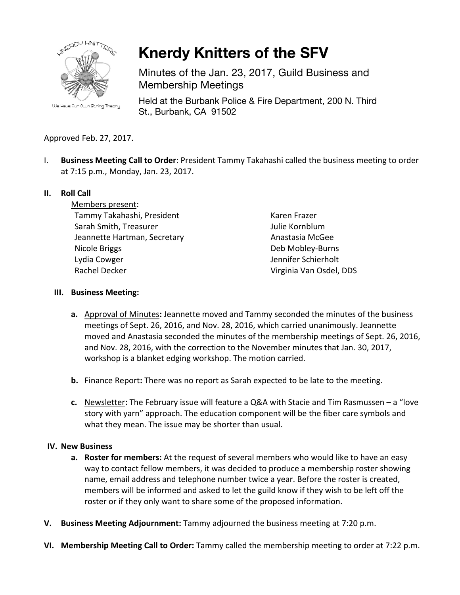

**Knerdy Knitters of the SFV**

Minutes of the Jan. 23, 2017, Guild Business and Membership Meetings

Held at the Burbank Police & Fire Department, 200 N. Third St., Burbank, CA 91502

# Approved Feb. 27, 2017.

I. **Business Meeting Call to Order**: President Tammy Takahashi called the business meeting to order at 7:15 p.m., Monday, Jan. 23, 2017.

## **II.** Roll Call

Members present: Tammy Takahashi, President Sarah Smith, Treasurer Jeannette Hartman, Secretary Nicole Briggs Lydia Cowger Rachel Decker

Karen Frazer Julie Kornblum Anastasia McGee Deb Mobley-Burns Jennifer Schierholt Virginia Van Osdel, DDS

### **III. Business Meeting:**

- **a.** Approval of Minutes: Jeannette moved and Tammy seconded the minutes of the business meetings of Sept. 26, 2016, and Nov. 28, 2016, which carried unanimously. Jeannette moved and Anastasia seconded the minutes of the membership meetings of Sept. 26, 2016, and Nov. 28, 2016, with the correction to the November minutes that Jan. 30, 2017, workshop is a blanket edging workshop. The motion carried.
- **b.** Finance Report: There was no report as Sarah expected to be late to the meeting.
- **c.** Newsletter: The February issue will feature a Q&A with Stacie and Tim Rasmussen a "love story with yarn" approach. The education component will be the fiber care symbols and what they mean. The issue may be shorter than usual.

## **IV. New Business**

- **a. Roster for members:** At the request of several members who would like to have an easy way to contact fellow members, it was decided to produce a membership roster showing name, email address and telephone number twice a year. Before the roster is created, members will be informed and asked to let the guild know if they wish to be left off the roster or if they only want to share some of the proposed information.
- **V.** Business Meeting Adjournment: Tammy adjourned the business meeting at 7:20 p.m.
- **VI.** Membership Meeting Call to Order: Tammy called the membership meeting to order at 7:22 p.m.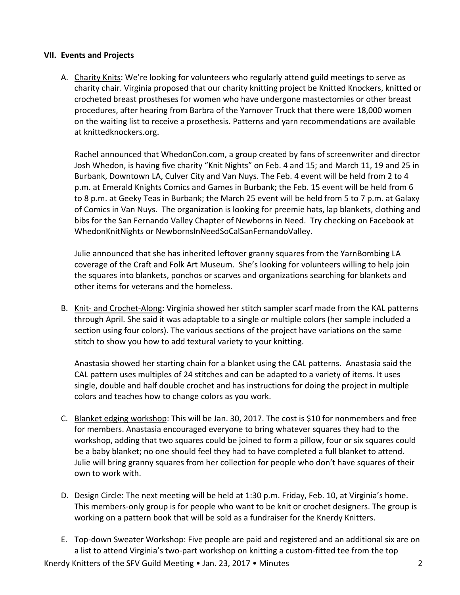### **VII. Events and Projects**

A. Charity Knits: We're looking for volunteers who regularly attend guild meetings to serve as charity chair. Virginia proposed that our charity knitting project be Knitted Knockers, knitted or crocheted breast prostheses for women who have undergone mastectomies or other breast procedures, after hearing from Barbra of the Yarnover Truck that there were 18,000 women on the waiting list to receive a prosethesis. Patterns and yarn recommendations are available at knittedknockers.org.

Rachel announced that WhedonCon.com, a group created by fans of screenwriter and director Josh Whedon, is having five charity "Knit Nights" on Feb. 4 and 15; and March 11, 19 and 25 in Burbank, Downtown LA, Culver City and Van Nuys. The Feb. 4 event will be held from 2 to 4 p.m. at Emerald Knights Comics and Games in Burbank; the Feb. 15 event will be held from 6 to 8 p.m. at Geeky Teas in Burbank; the March 25 event will be held from 5 to 7 p.m. at Galaxy of Comics in Van Nuys. The organization is looking for preemie hats, lap blankets, clothing and bibs for the San Fernando Valley Chapter of Newborns in Need. Try checking on Facebook at WhedonKnitNights or NewbornsInNeedSoCalSanFernandoValley.

Julie announced that she has inherited leftover granny squares from the YarnBombing LA coverage of the Craft and Folk Art Museum. She's looking for volunteers willing to help join the squares into blankets, ponchos or scarves and organizations searching for blankets and other items for veterans and the homeless.

B. Knit- and Crochet-Along: Virginia showed her stitch sampler scarf made from the KAL patterns through April. She said it was adaptable to a single or multiple colors (her sample included a section using four colors). The various sections of the project have variations on the same stitch to show you how to add textural variety to your knitting.

Anastasia showed her starting chain for a blanket using the CAL patterns. Anastasia said the CAL pattern uses multiples of 24 stitches and can be adapted to a variety of items. It uses single, double and half double crochet and has instructions for doing the project in multiple colors and teaches how to change colors as you work.

- C. Blanket edging workshop: This will be Jan. 30, 2017. The cost is \$10 for nonmembers and free for members. Anastasia encouraged everyone to bring whatever squares they had to the workshop, adding that two squares could be joined to form a pillow, four or six squares could be a baby blanket; no one should feel they had to have completed a full blanket to attend. Julie will bring granny squares from her collection for people who don't have squares of their own to work with.
- D. Design Circle: The next meeting will be held at 1:30 p.m. Friday, Feb. 10, at Virginia's home. This members-only group is for people who want to be knit or crochet designers. The group is working on a pattern book that will be sold as a fundraiser for the Knerdy Knitters.
- E. Top-down Sweater Workshop: Five people are paid and registered and an additional six are on a list to attend Virginia's two-part workshop on knitting a custom-fitted tee from the top

Knerdy Knitters of the SFV Guild Meeting  $\bullet$  Jan. 23, 2017  $\bullet$  Minutes 2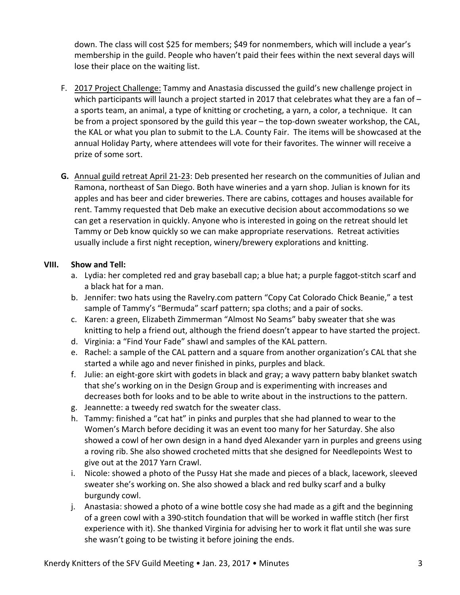down. The class will cost \$25 for members; \$49 for nonmembers, which will include a year's membership in the guild. People who haven't paid their fees within the next several days will lose their place on the waiting list.

- F. 2017 Project Challenge: Tammy and Anastasia discussed the guild's new challenge project in which participants will launch a project started in 2017 that celebrates what they are a fan of  $$ a sports team, an animal, a type of knitting or crocheting, a yarn, a color, a technique. It can be from a project sponsored by the guild this year  $-$  the top-down sweater workshop, the CAL, the KAL or what you plan to submit to the L.A. County Fair. The items will be showcased at the annual Holiday Party, where attendees will vote for their favorites. The winner will receive a prize of some sort.
- **G.** Annual guild retreat April 21-23: Deb presented her research on the communities of Julian and Ramona, northeast of San Diego. Both have wineries and a yarn shop. Julian is known for its apples and has beer and cider breweries. There are cabins, cottages and houses available for rent. Tammy requested that Deb make an executive decision about accommodations so we can get a reservation in quickly. Anyone who is interested in going on the retreat should let Tammy or Deb know quickly so we can make appropriate reservations. Retreat activities usually include a first night reception, winery/brewery explorations and knitting.

## **VIII. Show and Tell:**

- a. Lydia: her completed red and gray baseball cap; a blue hat; a purple faggot-stitch scarf and a black hat for a man.
- b. Jennifer: two hats using the Ravelry.com pattern "Copy Cat Colorado Chick Beanie," a test sample of Tammy's "Bermuda" scarf pattern; spa cloths; and a pair of socks.
- c. Karen: a green, Elizabeth Zimmerman "Almost No Seams" baby sweater that she was knitting to help a friend out, although the friend doesn't appear to have started the project.
- d. Virginia: a "Find Your Fade" shawl and samples of the KAL pattern.
- e. Rachel: a sample of the CAL pattern and a square from another organization's CAL that she started a while ago and never finished in pinks, purples and black.
- f. Julie: an eight-gore skirt with godets in black and gray; a wavy pattern baby blanket swatch that she's working on in the Design Group and is experimenting with increases and decreases both for looks and to be able to write about in the instructions to the pattern.
- g. Jeannette: a tweedy red swatch for the sweater class.
- h. Tammy: finished a "cat hat" in pinks and purples that she had planned to wear to the Women's March before deciding it was an event too many for her Saturday. She also showed a cowl of her own design in a hand dyed Alexander yarn in purples and greens using a roving rib. She also showed crocheted mitts that she designed for Needlepoints West to give out at the 2017 Yarn Crawl.
- i. Nicole: showed a photo of the Pussy Hat she made and pieces of a black, lacework, sleeved sweater she's working on. She also showed a black and red bulky scarf and a bulky burgundy cowl.
- j. Anastasia: showed a photo of a wine bottle cosy she had made as a gift and the beginning of a green cowl with a 390-stitch foundation that will be worked in waffle stitch (her first experience with it). She thanked Virginia for advising her to work it flat until she was sure she wasn't going to be twisting it before joining the ends.